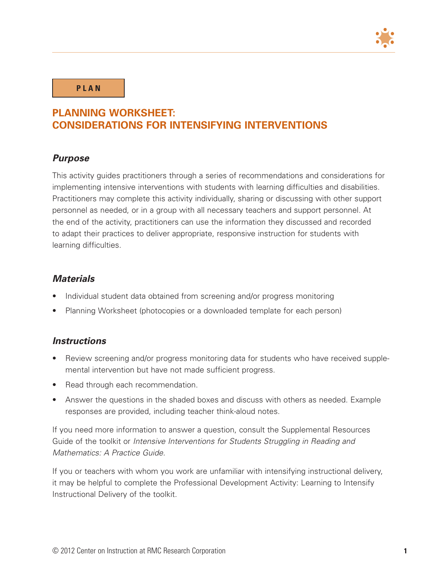

**P L A N**

# **PLANNING WORKSHEET: CONSIDERATIONS FOR INTENSIFYING INTERVENTIONS**

## *Purpose*

This activity guides practitioners through a series of recommendations and considerations for implementing intensive interventions with students with learning difficulties and disabilities. Practitioners may complete this activity individually, sharing or discussing with other support personnel as needed, or in a group with all necessary teachers and support personnel. At the end of the activity, practitioners can use the information they discussed and recorded to adapt their practices to deliver appropriate, responsive instruction for students with learning difficulties.

## *Materials*

- Individual student data obtained from screening and/or progress monitoring
- Planning Worksheet (photocopies or a downloaded template for each person)

### *Instructions*

- Review screening and/or progress monitoring data for students who have received supplemental intervention but have not made sufficient progress.
- Read through each recommendation.
- Answer the questions in the shaded boxes and discuss with others as needed. Example responses are provided, including teacher think-aloud notes.

If you need more information to answer a question, consult the Supplemental Resources Guide of the toolkit or *Intensive Interventions for Students Struggling in Reading and Mathematics: A Practice Guide.*

If you or teachers with whom you work are unfamiliar with intensifying instructional delivery, it may be helpful to complete the Professional Development Activity: Learning to Intensify Instructional Delivery of the toolkit.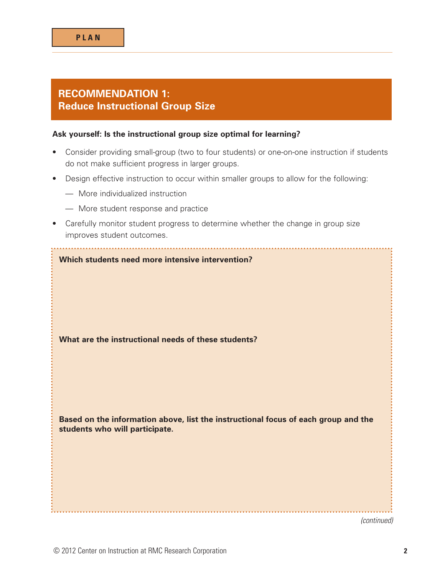# **RECOMMENDATION 1: Reduce Instructional Group Size**

### **Ask yourself: Is the instructional group size optimal for learning?**

- Consider providing small-group (two to four students) or one-on-one instruction if students do not make sufficient progress in larger groups.
- Design effective instruction to occur within smaller groups to allow for the following:
	- More individualized instruction
	- More student response and practice
- Carefully monitor student progress to determine whether the change in group size improves student outcomes.

| Which students need more intensive intervention?                                                                     |
|----------------------------------------------------------------------------------------------------------------------|
| What are the instructional needs of these students?                                                                  |
| Based on the information above, list the instructional focus of each group and the<br>students who will participate. |
|                                                                                                                      |

*(continued)*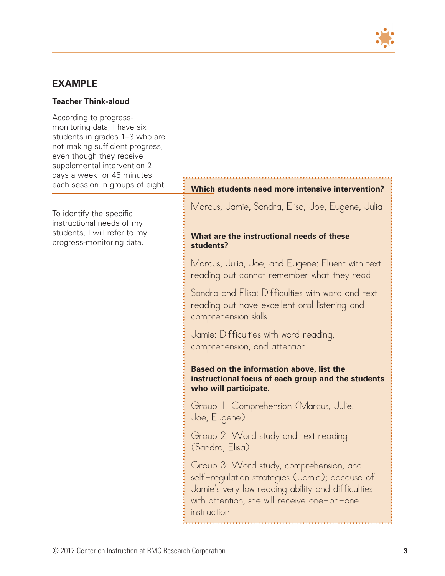

## **EXAMPLE**

### **Teacher Think-aloud**

According to progressmonitoring data, I have six students in grades 1–3 who are not making sufficient progress, even though they rece supplemental interven days a week for 45 m each session in group

To identify the specific instructional needs of students, I will refer to progress-monitoring d

| progress,<br>eive<br>ntion 2<br>inutes |                                                                                                                                                                                                              |
|----------------------------------------|--------------------------------------------------------------------------------------------------------------------------------------------------------------------------------------------------------------|
| os of eight.                           | Which students need more intensive intervention?                                                                                                                                                             |
| С<br>my<br>o my                        | Marcus, Jamie, Sandra, Elisa, Joe, Eugene, Julia<br>What are the instructional needs of these                                                                                                                |
| lata.                                  | students?                                                                                                                                                                                                    |
|                                        | Marcus, Julia, Joe, and Eugene: Fluent with text<br>reading but cannot remember what they read                                                                                                               |
|                                        | Sandra and Elisa: Difficulties with word and text<br>reading but have excellent oral listening and<br>comprehension skills                                                                                   |
|                                        | Jamie: Difficulties with word reading,<br>comprehension, and attention                                                                                                                                       |
|                                        | <b>Based on the information above, list the</b><br>instructional focus of each group and the students<br>who will participate.                                                                               |
|                                        | Group 1: Comprehension (Marcus, Julie,<br>Joe, Eugene)                                                                                                                                                       |
|                                        | Group 2: Word study and text reading<br>(Sandra, Elisa)                                                                                                                                                      |
|                                        | Group 3: Word study, comprehension, and<br>selt-regulation strategies (Jamie); because of<br>Jamie's very low reading ability and difficulties<br>with attention, she will receive one-on-one<br>instruction |
|                                        |                                                                                                                                                                                                              |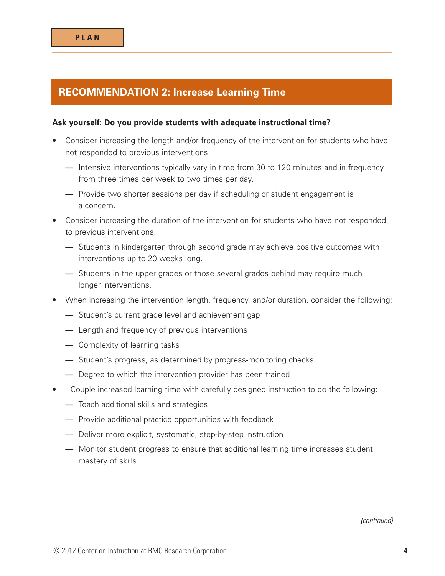# **RECOMMENDATION 2: Increase Learning Time**

### **Ask yourself: Do you provide students with adequate instructional time?**

- Consider increasing the length and/or frequency of the intervention for students who have not responded to previous interventions.
	- Intensive interventions typically vary in time from 30 to 120 minutes and in frequency from three times per week to two times per day.
	- Provide two shorter sessions per day if scheduling or student engagement is a concern.
- Consider increasing the duration of the intervention for students who have not responded to previous interventions.
	- Students in kindergarten through second grade may achieve positive outcomes with interventions up to 20 weeks long.
	- Students in the upper grades or those several grades behind may require much longer interventions.
- When increasing the intervention length, frequency, and/or duration, consider the following:
	- Student's current grade level and achievement gap
	- Length and frequency of previous interventions
	- Complexity of learning tasks
	- Student's progress, as determined by progress-monitoring checks
	- Degree to which the intervention provider has been trained
- Couple increased learning time with carefully designed instruction to do the following:
	- Teach additional skills and strategies
	- Provide additional practice opportunities with feedback
	- Deliver more explicit, systematic, step-by-step instruction
	- Monitor student progress to ensure that additional learning time increases student mastery of skills

*(continued)*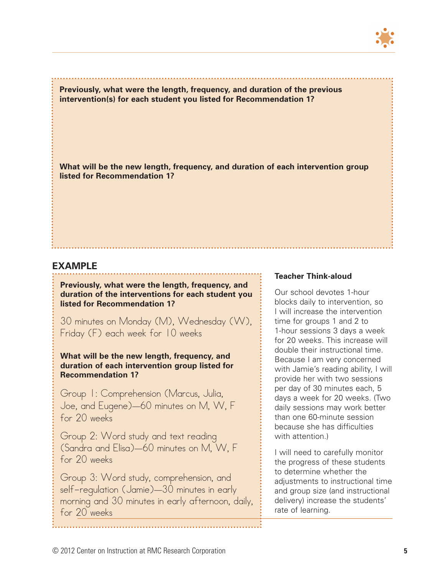

**Previously, what were the length, frequency, and duration of the previous intervention(s) for each student you listed for Recommendation 1?** 

**What will be the new length, frequency, and duration of each intervention group listed for Recommendation 1?**

### **EXAMPLE**

**Previously, what were the length, frequency, and duration of the interventions for each student you listed for Recommendation 1?** 

30 minutes on Monday (M), Wednesday (W), Friday (F) each week for 10 weeks

**What will be the new length, frequency, and duration of each intervention group listed for Recommendation 1?** 

Group 1: Comprehension (Marcus, Julia, Joe, and Eugene)—60 minutes on M, W, F for 20 weeks

Group 2: Word study and text reading (Sandra and Elisa)—60 minutes on M, W, F for 20 weeks

Group 3: Word study, comprehension, and self-regulation (Jamie)—30 minutes in early morning and 30 minutes in early afternoon, daily, for 20 weeks

#### **Teacher Think-aloud**

Our school devotes 1-hour blocks daily to intervention, so I will increase the intervention time for groups 1 and 2 to 1-hour sessions 3 days a week for 20 weeks. This increase will double their instructional time. Because I am very concerned with Jamie's reading ability, I will provide her with two sessions per day of 30 minutes each, 5 days a week for 20 weeks. (Two daily sessions may work better than one 60-minute session because she has difficulties with attention.)

I will need to carefully monitor the progress of these students to determine whether the adjustments to instructional time and group size (and instructional delivery) increase the students' rate of learning.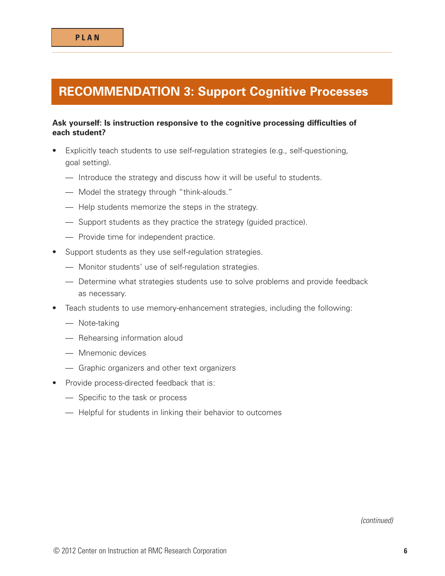# **RECOMMENDATION 3: Support Cognitive Processes**

### **Ask yourself: Is instruction responsive to the cognitive processing difficulties of each student?**

- Explicitly teach students to use self-regulation strategies (e.g., self-questioning, goal setting).
	- Introduce the strategy and discuss how it will be useful to students.
	- Model the strategy through "think-alouds."
	- Help students memorize the steps in the strategy.
	- Support students as they practice the strategy (guided practice).
	- Provide time for independent practice.
- Support students as they use self-regulation strategies.
	- Monitor students' use of self-regulation strategies.
	- Determine what strategies students use to solve problems and provide feedback as necessary.
- Teach students to use memory-enhancement strategies, including the following:
	- Note-taking
	- Rehearsing information aloud
	- Mnemonic devices
	- Graphic organizers and other text organizers
- Provide process-directed feedback that is:
	- Specific to the task or process
	- Helpful for students in linking their behavior to outcomes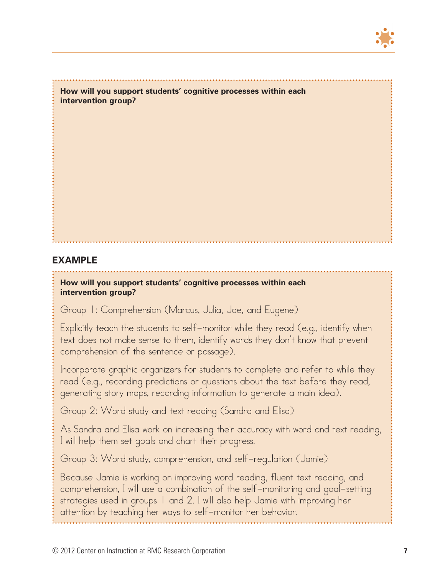

**How will you support students' cognitive processes within each intervention group?**

## **EXAMPLE**

### **How will you support students' cognitive processes within each intervention group?**

Group 1: Comprehension (Marcus, Julia, Joe, and Eugene)

Explicitly teach the students to self-monitor while they read (e.g., identify when text does not make sense to them, identify words they don't know that prevent comprehension of the sentence or passage).

Incorporate graphic organizers for students to complete and refer to while they read (e.g., recording predictions or questions about the text before they read, generating story maps, recording information to generate a main idea).

Group 2: Word study and text reading (Sandra and Elisa)

As Sandra and Elisa work on increasing their accuracy with word and text reading, I will help them set goals and chart their progress.

Group 3: Word study, comprehension, and self-regulation (Jamie)

Because Jamie is working on improving word reading, fluent text reading, and comprehension, I will use a combination of the self-monitoring and goal-setting strategies used in groups 1 and 2. I will also help Jamie with improving her attention by teaching her ways to self-monitor her behavior.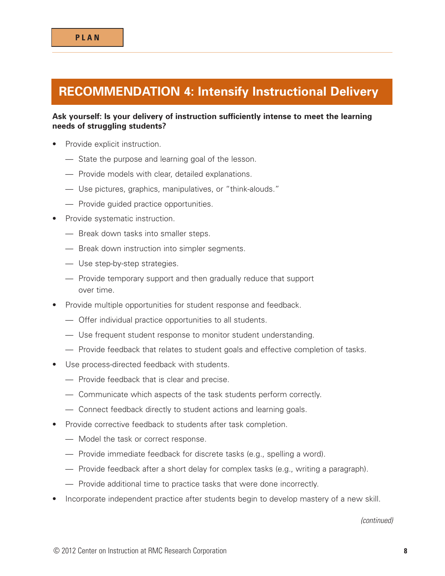# **RECOMMENDATION 4: Intensify Instructional Delivery**

### **Ask yourself: Is your delivery of instruction sufficiently intense to meet the learning needs of struggling students?**

- Provide explicit instruction.
	- State the purpose and learning goal of the lesson.
	- Provide models with clear, detailed explanations.
	- Use pictures, graphics, manipulatives, or "think-alouds."
	- Provide guided practice opportunities.
- Provide systematic instruction.
	- Break down tasks into smaller steps.
	- Break down instruction into simpler segments.
	- Use step-by-step strategies.
	- Provide temporary support and then gradually reduce that support over time.
- Provide multiple opportunities for student response and feedback.
	- Offer individual practice opportunities to all students.
	- Use frequent student response to monitor student understanding.
	- Provide feedback that relates to student goals and effective completion of tasks.
- Use process-directed feedback with students.
	- Provide feedback that is clear and precise.
	- Communicate which aspects of the task students perform correctly.
	- Connect feedback directly to student actions and learning goals.
- Provide corrective feedback to students after task completion.
	- Model the task or correct response.
	- Provide immediate feedback for discrete tasks (e.g., spelling a word).
	- Provide feedback after a short delay for complex tasks (e.g., writing a paragraph).
	- Provide additional time to practice tasks that were done incorrectly.
- Incorporate independent practice after students begin to develop mastery of a new skill.

*(continued)*